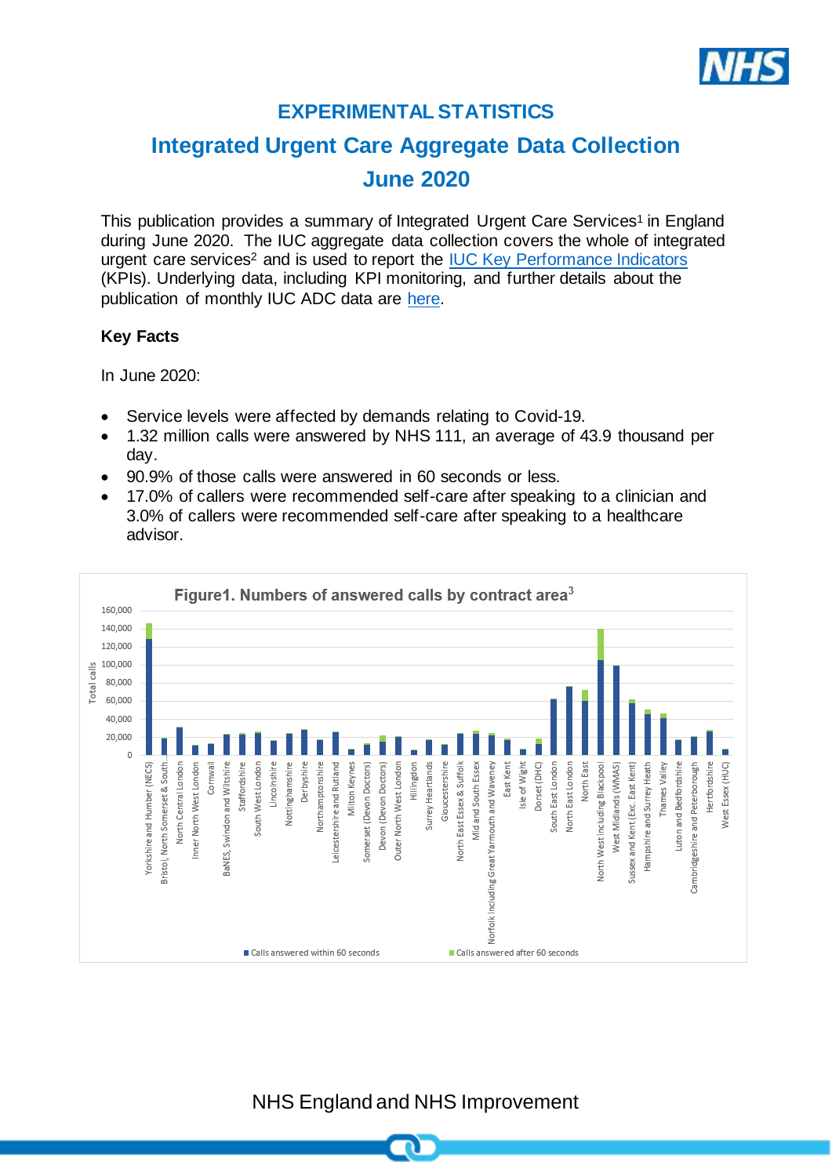

# **EXPERIMENTAL STATISTICS**

# **Integrated Urgent Care Aggregate Data Collection June 2020**

This publication provides a summary of Integrated Urgent Care Services<sup>1</sup> in England during June 2020. The IUC aggregate data collection covers the whole of integrated urgent care services<sup>2</sup> and is used to report the IUC Key [Performance Indicators](https://www.england.nhs.uk/publication/integrated-urgent-care-key-performance-indicators-and-quality-standards-2018/) (KPIs). Underlying data, including KPI monitoring, and further details about the publication of monthly IUC ADC data are [here.](https://www.england.nhs.uk/statistics/statistical-work-areas/nhs-111-minimum-data-set/integrated-urgent-care-aggregate-data-collection-iuc-adc/)

### **Key Facts**

In June 2020:

- Service levels were affected by demands relating to Covid-19.
- 1.32 million calls were answered by NHS 111, an average of 43.9 thousand per day.
- 90.9% of those calls were answered in 60 seconds or less.
- 17.0% of callers were recommended self-care after speaking to a clinician and 3.0% of callers were recommended self-care after speaking to a healthcare advisor.



NHS England and NHS Improvement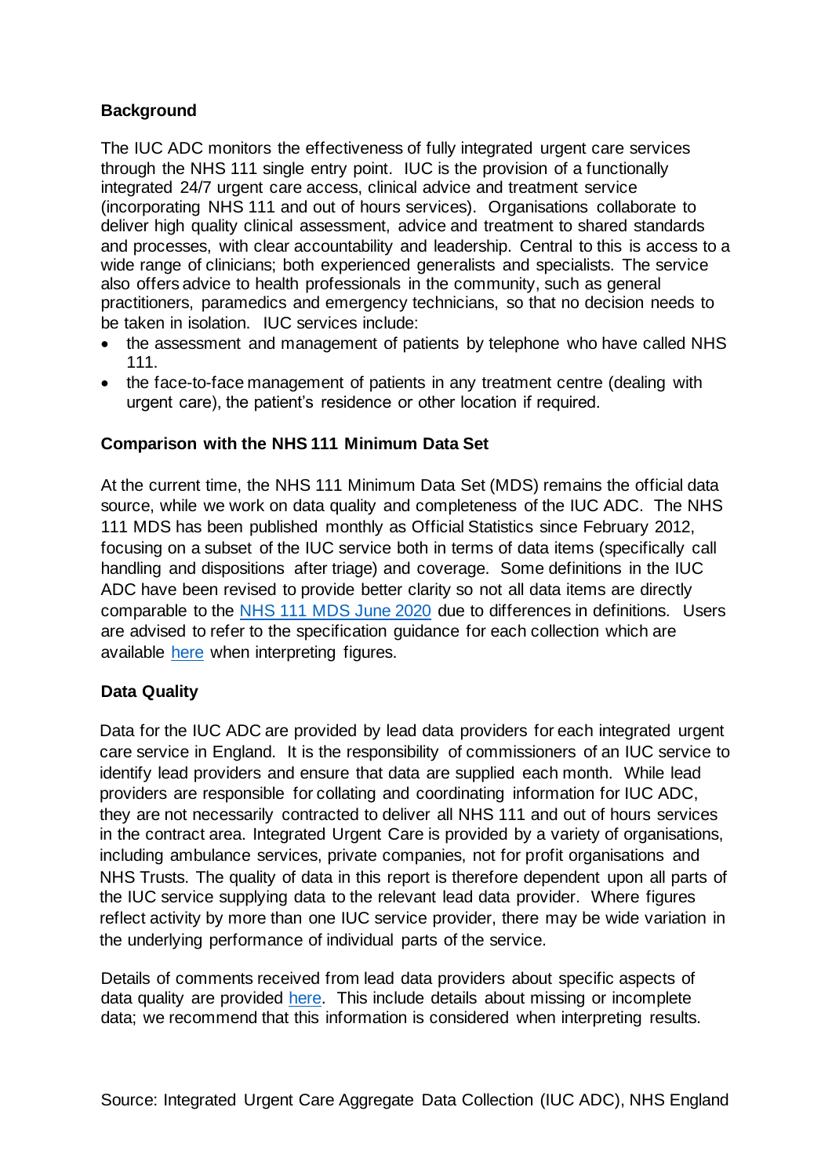### **Background**

The IUC ADC monitors the effectiveness of fully integrated urgent care services through the NHS 111 single entry point. IUC is the provision of a functionally integrated 24/7 urgent care access, clinical advice and treatment service (incorporating NHS 111 and out of hours services). Organisations collaborate to deliver high quality clinical assessment, advice and treatment to shared standards and processes, with clear accountability and leadership. Central to this is access to a wide range of clinicians; both experienced generalists and specialists. The service also offers advice to health professionals in the community, such as general practitioners, paramedics and emergency technicians, so that no decision needs to be taken in isolation. IUC services include:

- the assessment and management of patients by telephone who have called NHS 111.
- the face-to-face management of patients in any treatment centre (dealing with urgent care), the patient's residence or other location if required.

## **Comparison with the NHS 111 Minimum Data Set**

At the current time, the NHS 111 Minimum Data Set (MDS) remains the official data source, while we work on data quality and completeness of the IUC ADC. The NHS 111 MDS has been published monthly as Official Statistics since February 2012, focusing on a subset of the IUC service both in terms of data items (specifically call handling and dispositions after triage) and coverage. Some definitions in the IUC ADC have been revised to provide better clarity so not all data items are directly comparable to the [NHS 111 MDS June](https://www.england.nhs.uk/statistics/wp-content/uploads/sites/2/2020/07/NHS-111-MDS-July-2020-Statistical-Note.pdf) 2020 due to differences in definitions. Users are advised to refer to the specification guidance for each collection which are available [here](https://www.england.nhs.uk/statistics/statistical-work-areas/nhs-111-minimum-data-set/integrated-urgent-care-aggregate-data-collection-iuc-adc/) when interpreting figures.

# **Data Quality**

Data for the IUC ADC are provided by lead data providers for each integrated urgent care service in England. It is the responsibility of commissioners of an IUC service to identify lead providers and ensure that data are supplied each month. While lead providers are responsible for collating and coordinating information for IUC ADC, they are not necessarily contracted to deliver all NHS 111 and out of hours services in the contract area. Integrated Urgent Care is provided by a variety of organisations, including ambulance services, private companies, not for profit organisations and NHS Trusts. The quality of data in this report is therefore dependent upon all parts of the IUC service supplying data to the relevant lead data provider. Where figures reflect activity by more than one IUC service provider, there may be wide variation in the underlying performance of individual parts of the service.

Details of comments received from lead data providers about specific aspects of data quality are provided [here.](https://www.england.nhs.uk/statistics/statistical-work-areas/nhs-111-minimum-data-set/integrated-urgent-care-aggregate-data-collection-iuc-adc/) This include details about missing or incomplete data; we recommend that this information is considered when interpreting results.